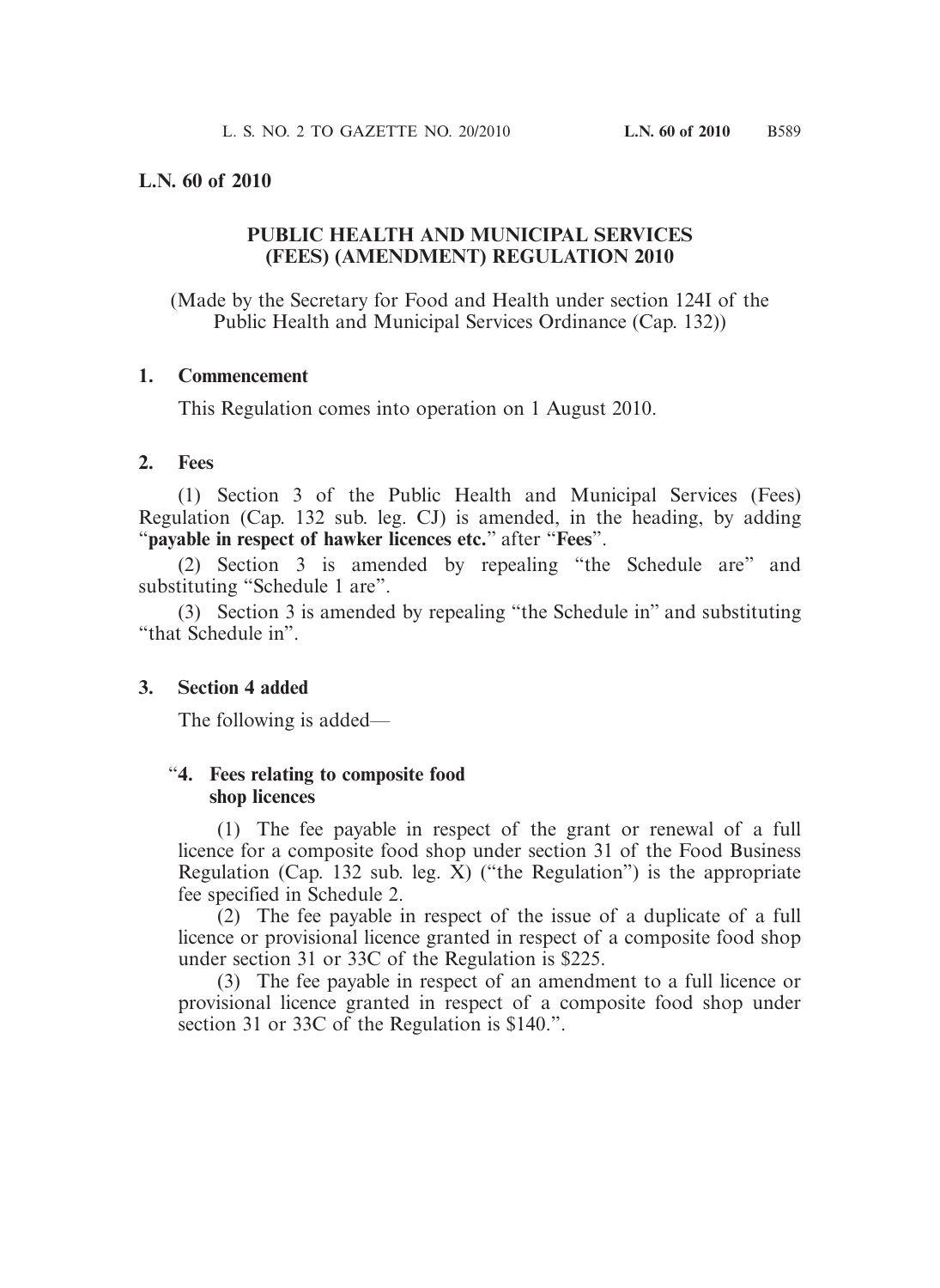### **L.N. 60 of 2010**

# **PUBLIC HEALTH AND MUNICIPAL SERVICES (FEES) (AMENDMENT) REGULATION 2010**

(Made by the Secretary for Food and Health under section 124I of the Public Health and Municipal Services Ordinance (Cap. 132))

#### **1. Commencement**

This Regulation comes into operation on 1 August 2010.

#### **2. Fees**

 (1) Section 3 of the Public Health and Municipal Services (Fees) Regulation (Cap. 132 sub. leg. CJ) is amended, in the heading, by adding "**payable in respect of hawker licences etc.**" after "**Fees**".

 (2) Section 3 is amended by repealing "the Schedule are" and substituting "Schedule 1 are".

 (3) Section 3 is amended by repealing "the Schedule in" and substituting "that Schedule in".

### **3. Section 4 added**

The following is added—

### "**4. Fees relating to composite food shop licences**

 (1) The fee payable in respect of the grant or renewal of a full licence for a composite food shop under section 31 of the Food Business Regulation (Cap. 132 sub. leg.  $\bar{X}$ ) ("the Regulation") is the appropriate fee specified in Schedule 2.

 (2) The fee payable in respect of the issue of a duplicate of a full licence or provisional licence granted in respect of a composite food shop under section 31 or 33C of the Regulation is \$225.

 (3) The fee payable in respect of an amendment to a full licence or provisional licence granted in respect of a composite food shop under section 31 or 33C of the Regulation is \$140.".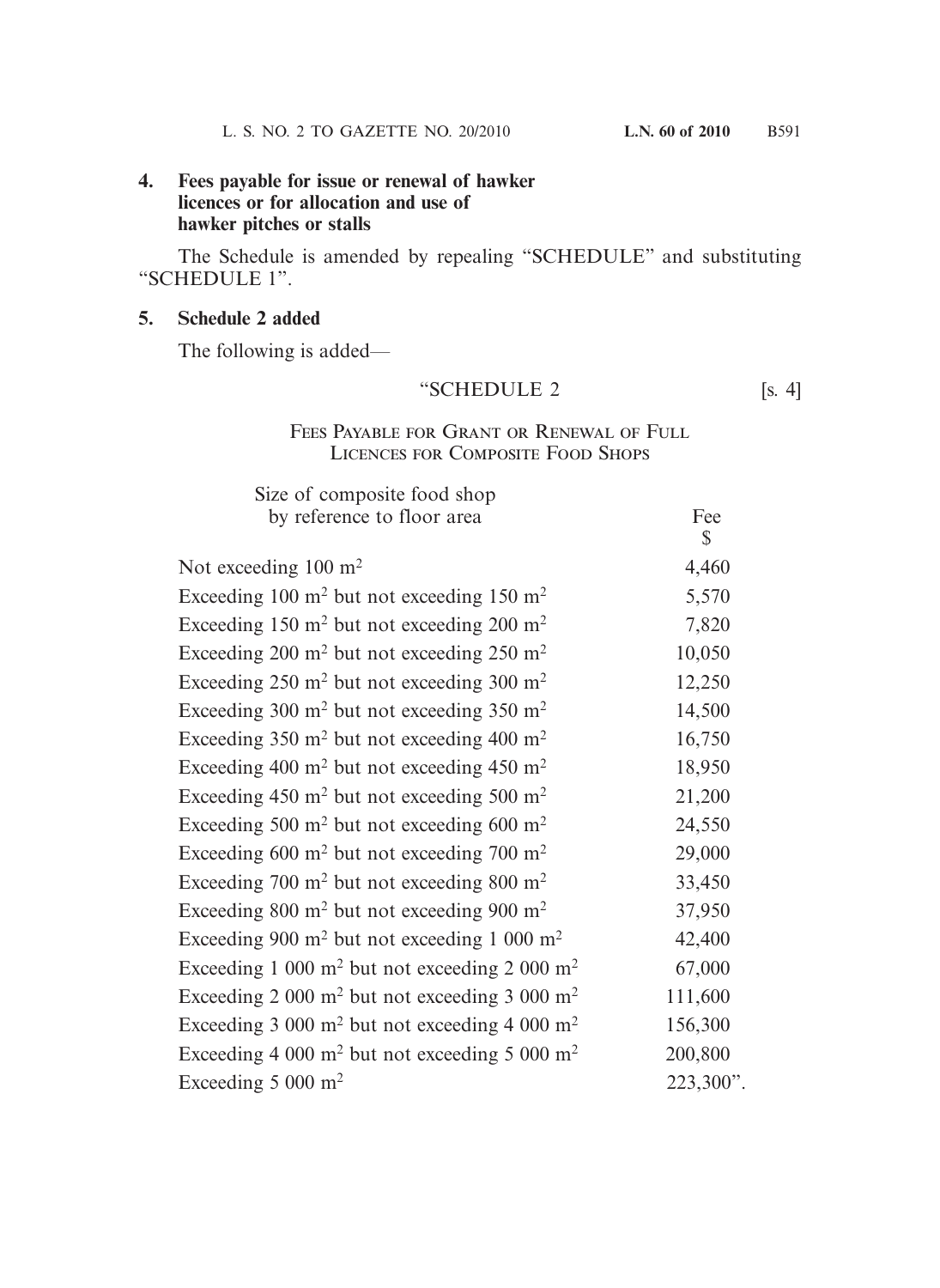# **4. Fees payable for issue or renewal of hawker licences or for allocation and use of hawker pitches or stalls**

 The Schedule is amended by repealing "SCHEDULE" and substituting "SCHEDULE 1".

### **5. Schedule 2 added**

The following is added—

# "SCHEDULE 2 [s. 4]

# Fees Payable for Grant or Renewal of Full Licences for Composite Food Shops

| Size of composite food shop                                           |              |
|-----------------------------------------------------------------------|--------------|
| by reference to floor area                                            | Fee          |
|                                                                       | $\mathbb{S}$ |
| Not exceeding $100 \text{ m}^2$                                       | 4,460        |
| Exceeding 100 $m^2$ but not exceeding 150 $m^2$                       | 5,570        |
| Exceeding 150 m <sup>2</sup> but not exceeding 200 m <sup>2</sup>     | 7,820        |
| Exceeding 200 m <sup>2</sup> but not exceeding 250 m <sup>2</sup>     | 10,050       |
| Exceeding $250 \text{ m}^2$ but not exceeding $300 \text{ m}^2$       | 12,250       |
| Exceeding 300 m <sup>2</sup> but not exceeding 350 m <sup>2</sup>     | 14,500       |
| Exceeding $350 \text{ m}^2$ but not exceeding $400 \text{ m}^2$       | 16,750       |
| Exceeding 400 m <sup>2</sup> but not exceeding 450 m <sup>2</sup>     | 18,950       |
| Exceeding 450 m <sup>2</sup> but not exceeding 500 m <sup>2</sup>     | 21,200       |
| Exceeding 500 m <sup>2</sup> but not exceeding 600 m <sup>2</sup>     | 24,550       |
| Exceeding $600 \text{ m}^2$ but not exceeding $700 \text{ m}^2$       | 29,000       |
| Exceeding 700 m <sup>2</sup> but not exceeding 800 m <sup>2</sup>     | 33,450       |
| Exceeding $800 \text{ m}^2$ but not exceeding $900 \text{ m}^2$       | 37,950       |
| Exceeding 900 m <sup>2</sup> but not exceeding 1 000 m <sup>2</sup>   | 42,400       |
| Exceeding 1 000 m <sup>2</sup> but not exceeding 2 000 m <sup>2</sup> | 67,000       |
| Exceeding 2 000 m <sup>2</sup> but not exceeding 3 000 m <sup>2</sup> | 111,600      |
| Exceeding 3 000 m <sup>2</sup> but not exceeding 4 000 m <sup>2</sup> | 156,300      |
| Exceeding 4 000 m <sup>2</sup> but not exceeding 5 000 m <sup>2</sup> | 200,800      |
| Exceeding $5000 \text{ m}^2$                                          | 223,300".    |